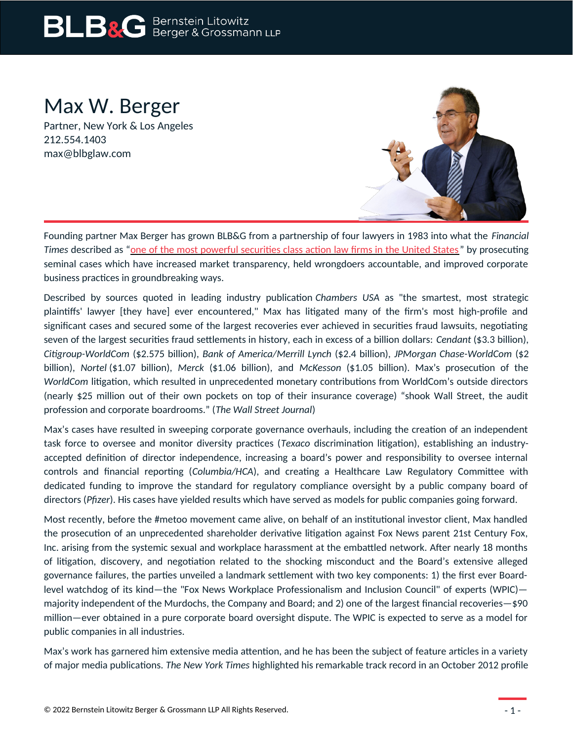# **BLB&G** Bernstein Litowitz

### Max W. Berger

Partner, New York & Los Angeles 212.554.1403 max@blbglaw.com



Founding partner Max Berger has grown BLB&G from a partnership of four lawyers in 1983 into what the *Financial Times* described as ["one of the most powerful securities class action law firms in the United States](https://www.ft.com/content/c7dba5c6-e90c-11da-b110-0000779e2340) " by prosecuting seminal cases which have increased market transparency, held wrongdoers accountable, and improved corporate business practices in groundbreaking ways.

Described by sources quoted in leading industry publication *Chambers USA* as "the smartest, most strategic plaintiffs' lawyer [they have] ever encountered," Max has litigated many of the firm's most high-profile and significant cases and secured some of the largest recoveries ever achieved in securities fraud lawsuits, negotiating seven of the largest securities fraud settlements in history, each in excess of a billion dollars: *Cendant* (\$3.3 billion), *Citigroup-WorldCom* (\$2.575 billion), *Bank of America/Merrill Lynch* (\$2.4 billion), *JPMorgan Chase-WorldCom* (\$2 billion), *Nortel* (\$1.07 billion), *Merck* (\$1.06 billion), and *McKesson* (\$1.05 billion). Max's prosecution of the *WorldCom* litigation, which resulted in unprecedented monetary contributions from WorldCom's outside directors (nearly \$25 million out of their own pockets on top of their insurance coverage) "shook Wall Street, the audit profession and corporate boardrooms." (*The Wall Street Journal*)

Max's cases have resulted in sweeping corporate governance overhauls, including the creation of an independent task force to oversee and monitor diversity practices (*Texaco* discrimination litigation), establishing an industryaccepted definition of director independence, increasing a board's power and responsibility to oversee internal controls and financial reporting (*Columbia/HCA*), and creating a Healthcare Law Regulatory Committee with dedicated funding to improve the standard for regulatory compliance oversight by a public company board of directors (*Pfizer*). His cases have yielded results which have served as models for public companies going forward.

Most recently, before the #metoo movement came alive, on behalf of an institutional investor client, Max handled the prosecution of an unprecedented shareholder derivative litigation against Fox News parent 21st Century Fox, Inc. arising from the systemic sexual and workplace harassment at the embattled network. After nearly 18 months of litigation, discovery, and negotiation related to the shocking misconduct and the Board's extensive alleged governance failures, the parties unveiled a landmark settlement with two key components: 1) the first ever Boardlevel watchdog of its kind—the "Fox News Workplace Professionalism and Inclusion Council" of experts (WPIC) majority independent of the Murdochs, the Company and Board; and 2) one of the largest financial recoveries—\$90 million—ever obtained in a pure corporate board oversight dispute. The WPIC is expected to serve as a model for public companies in all industries.

Max's work has garnered him extensive media attention, and he has been the subject of feature articles in a variety of major media publications*. The New York Times* highlighted his remarkable track record in an October 2012 profile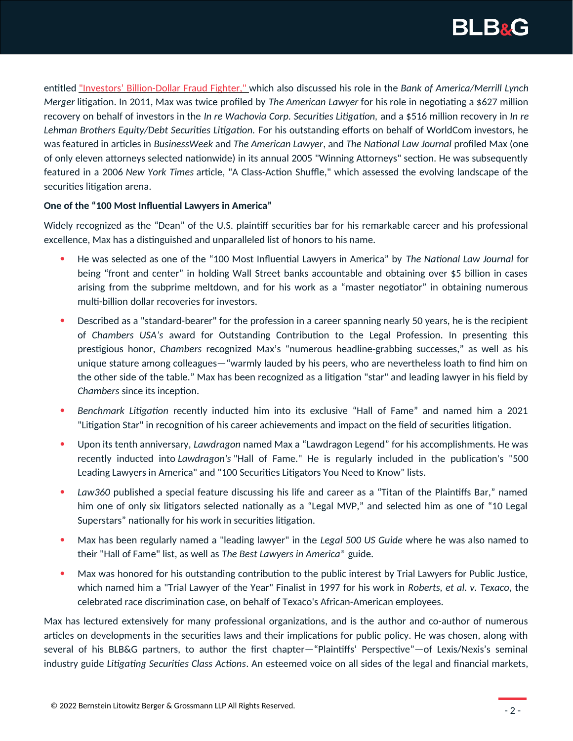

entitled ["Investors' Billion-Dollar Fraud Fighter,"](http://dealbook.nytimes.com/2012/10/08/investors-billion-dollar-fraud-fighter/?smid=pl-share) which also discussed his role in the *Bank of America/Merrill Lynch Merger* litigation. In 2011, Max was twice profiled by *The American Lawyer* for his role in negotiating a \$627 million recovery on behalf of investors in the *In re Wachovia Corp. Securities Litigation,* and a \$516 million recovery in *In re Lehman Brothers Equity/Debt Securities Litigation.* For his outstanding efforts on behalf of WorldCom investors, he was featured in articles in *BusinessWeek* and *The American Lawyer*, and *The National Law Journal* profiled Max (one of only eleven attorneys selected nationwide) in its annual 2005 "Winning Attorneys" section. He was subsequently featured in a 2006 *New York Times* article, "A Class-Action Shuffle," which assessed the evolving landscape of the securities litigation arena.

#### **One of the "100 Most Influential Lawyers in America"**

Widely recognized as the "Dean" of the U.S. plaintiff securities bar for his remarkable career and his professional excellence, Max has a distinguished and unparalleled list of honors to his name.

- He was selected as one of the "100 Most Influential Lawyers in America" by *The National Law Journal* for being "front and center" in holding Wall Street banks accountable and obtaining over \$5 billion in cases arising from the subprime meltdown, and for his work as a "master negotiator" in obtaining numerous multi-billion dollar recoveries for investors.
- Described as a "standard-bearer" for the profession in a career spanning nearly 50 years, he is the recipient of *Chambers USA's* award for Outstanding Contribution to the Legal Profession. In presenting this prestigious honor, *Chambers* recognized Max's "numerous headline-grabbing successes," as well as his unique stature among colleagues—"warmly lauded by his peers, who are nevertheless loath to find him on the other side of the table." Max has been recognized as a litigation "star" and leading lawyer in his field by *Chambers* since its inception.
- *Benchmark Litigation* recently inducted him into its exclusive "Hall of Fame" and named him a 2021 "Litigation Star" in recognition of his career achievements and impact on the field of securities litigation.
- Upon its tenth anniversary, *Lawdragon* named Max a "Lawdragon Legend" for his accomplishments. He was recently inducted into *Lawdragon's* "Hall of Fame." He is regularly included in the publication's "500 Leading Lawyers in America" and "100 Securities Litigators You Need to Know" lists.
- *Law360* published a special feature discussing his life and career as a "Titan of the Plaintiffs Bar," named him one of only six litigators selected nationally as a "Legal MVP," and selected him as one of "10 Legal Superstars" nationally for his work in securities litigation.
- Max has been regularly named a "leading lawyer" in the *Legal 500 US Guide* where he was also named to their "Hall of Fame" list, as well as *The Best Lawyers in America®* guide.
- Max was honored for his outstanding contribution to the public interest by Trial Lawyers for Public Justice, which named him a "Trial Lawyer of the Year" Finalist in 1997 for his work in *Roberts, et al. v. Texaco*, the celebrated race discrimination case, on behalf of Texaco's African-American employees.

Max has lectured extensively for many professional organizations, and is the author and co-author of numerous articles on developments in the securities laws and their implications for public policy. He was chosen, along with several of his BLB&G partners, to author the first chapter—"Plaintiffs' Perspective"—of Lexis/Nexis's seminal industry guide *Litigating Securities Class Actions*. An esteemed voice on all sides of the legal and financial markets,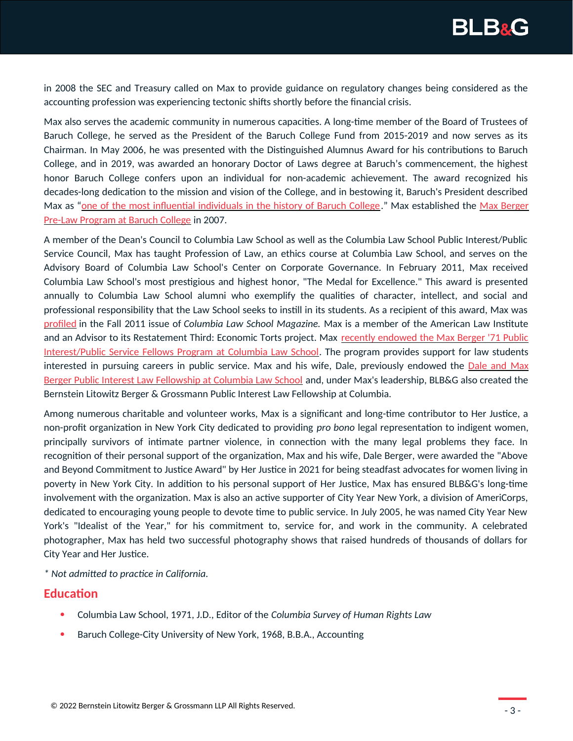

in 2008 the SEC and Treasury called on Max to provide guidance on regulatory changes being considered as the accounting profession was experiencing tectonic shifts shortly before the financial crisis.

Max also serves the academic community in numerous capacities. A long-time member of the Board of Trustees of Baruch College, he served as the President of the Baruch College Fund from 2015-2019 and now serves as its Chairman. In May 2006, he was presented with the Distinguished Alumnus Award for his contributions to Baruch College, and in 2019, was awarded an honorary Doctor of Laws degree at Baruch's commencement, the highest honor Baruch College confers upon an individual for non-academic achievement. The award recognized his decades-long dedication to the mission and vision of the College, and in bestowing it, Baruch's President described Max as "[one of the most influential individuals in the history of Baruch College](https://www1.cuny.edu/mu/forum/2019/05/17/alumnus-max-berger-to-receive-honorary-degree-at-baruch-college-2019-commencement/)." Max established the [Max Berger](https://studentaffairs.baruch.cuny.edu/wp-content/uploads/sites/6/2020/01/maxberger.pdf) [Pre-Law Program at Baruch College](https://studentaffairs.baruch.cuny.edu/wp-content/uploads/sites/6/2020/01/maxberger.pdf) in 2007.

A member of the Dean's Council to Columbia Law School as well as the Columbia Law School Public Interest/Public Service Council, Max has taught Profession of Law, an ethics course at Columbia Law School, and serves on the Advisory Board of Columbia Law School's Center on Corporate Governance. In February 2011, Max received Columbia Law School's most prestigious and highest honor, "The Medal for Excellence." This award is presented annually to Columbia Law School alumni who exemplify the qualities of character, intellect, and social and professional responsibility that the Law School seeks to instill in its students. As a recipient of this award, Max was [profiled](https://www.blbglaw.com/news/updates/2011-10-24-columbia-law-school-magazine-profiles-max-berger/_res/id=File1/CLSM-Max-Berger.pdf) in the Fall 2011 issue of *Columbia Law School Magazine.* Max is a member of the American Law Institute and an Advisor to its Restatement Third: Economic Torts project. Max [recently endowed the Max Berger '71 Public](https://www.law.columbia.edu/news/archive/gift-endows-public-interestpublic-service-fellows-program) [Interest/Public Service Fellows Program at Columbia Law School](https://www.law.columbia.edu/news/archive/gift-endows-public-interestpublic-service-fellows-program). The program provides support for law students interested in pursuing careers in public service. Max and his wife, Dale, previously endowed the [Dale and Max](https://www.blbglaw.com/news/events/2018-09-20-blbg-and-max-and-dale-berger-honor-fellows-and-celebrate-20-years-of-public-interest-fellowships-at-columbia-law-school/_res/id=File1/Berger%20and%20BLBG%20Fellows.pdf) [Berger Public Interest Law Fellowship at Columbia Law School](https://www.blbglaw.com/news/events/2018-09-20-blbg-and-max-and-dale-berger-honor-fellows-and-celebrate-20-years-of-public-interest-fellowships-at-columbia-law-school/_res/id=File1/Berger%20and%20BLBG%20Fellows.pdf) and, under Max's leadership, BLB&G also created the Bernstein Litowitz Berger & Grossmann Public Interest Law Fellowship at Columbia.

Among numerous charitable and volunteer works, Max is a significant and long-time contributor to Her Justice, a non-profit organization in New York City dedicated to providing *pro bono* legal representation to indigent women, principally survivors of intimate partner violence, in connection with the many legal problems they face. In recognition of their personal support of the organization, Max and his wife, Dale Berger, were awarded the "Above and Beyond Commitment to Justice Award" by Her Justice in 2021 for being steadfast advocates for women living in poverty in New York City. In addition to his personal support of Her Justice, Max has ensured BLB&G's long-time involvement with the organization. Max is also an active supporter of City Year New York, a division of AmeriCorps, dedicated to encouraging young people to devote time to public service. In July 2005, he was named City Year New York's "Idealist of the Year," for his commitment to, service for, and work in the community. A celebrated photographer, Max has held two successful photography shows that raised hundreds of thousands of dollars for City Year and Her Justice.

*\* Not admitted to practice in California.*

#### **Education**

- Columbia Law School, 1971, J.D., Editor of the *Columbia Survey of Human Rights Law*
- Baruch College-City University of New York, 1968, B.B.A., Accounting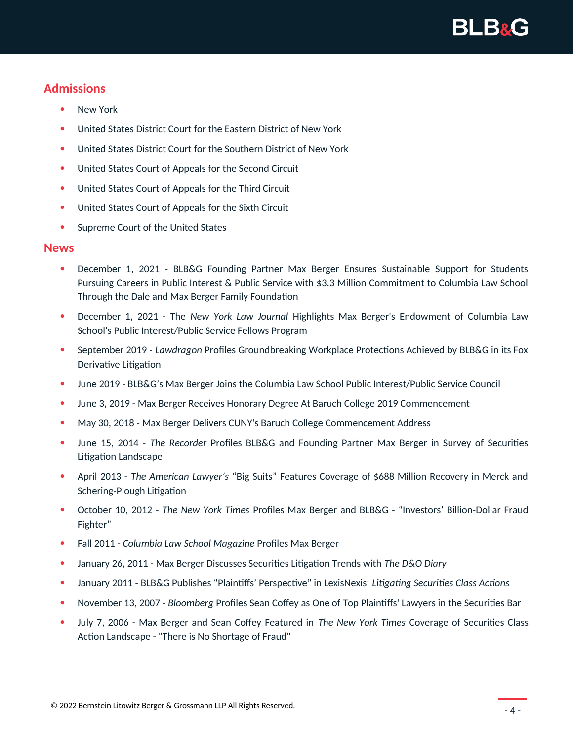

#### **Admissions**

- New York
- United States District Court for the Eastern District of New York
- United States District Court for the Southern District of New York
- United States Court of Appeals for the Second Circuit
- United States Court of Appeals for the Third Circuit
- United States Court of Appeals for the Sixth Circuit
- Supreme Court of the United States

#### **News**

- December 1, 2021 BLB&G Founding Partner Max Berger Ensures Sustainable Support for Students Pursuing Careers in Public Interest & Public Service with \$3.3 Million Commitment to Columbia Law School Through the Dale and Max Berger Family Foundation
- December 1, 2021 The *New York Law Journal* Highlights Max Berger's Endowment of Columbia Law School's Public Interest/Public Service Fellows Program
- September 2019 *Lawdragon* Profiles Groundbreaking Workplace Protections Achieved by BLB&G in its Fox Derivative Litigation
- June 2019 BLB&G's Max Berger Joins the Columbia Law School Public Interest/Public Service Council
- June 3, 2019 Max Berger Receives Honorary Degree At Baruch College 2019 Commencement
- May 30, 2018 Max Berger Delivers CUNY's Baruch College Commencement Address
- June 15, 2014 *The Recorder* Profiles BLB&G and Founding Partner Max Berger in Survey of Securities Litigation Landscape
- April 2013 *The American Lawyer's* "Big Suits" Features Coverage of \$688 Million Recovery in Merck and Schering-Plough Litigation
- October 10, 2012 *The New York Times* Profiles Max Berger and BLB&G "Investors' Billion-Dollar Fraud Fighter"
- Fall 2011 *Columbia Law School Magazine* Profiles Max Berger
- January 26, 2011 Max Berger Discusses Securities Litigation Trends with *The D&O Diary*
- January 2011 BLB&G Publishes "Plaintiffs' Perspective" in LexisNexis' *Litigating Securities Class Actions*
- November 13, 2007 *Bloomberg* Profiles Sean Coffey as One of Top Plaintiffs' Lawyers in the Securities Bar
- July 7, 2006 Max Berger and Sean Coffey Featured in *The New York Times* Coverage of Securities Class Action Landscape - "There is No Shortage of Fraud"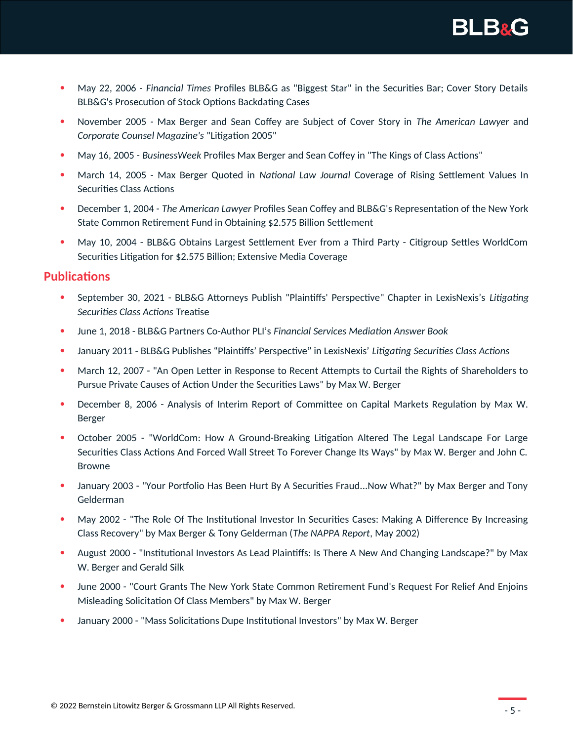

- May 22, 2006 *Financial Times* Profiles BLB&G as "Biggest Star" in the Securities Bar; Cover Story Details BLB&G's Prosecution of Stock Options Backdating Cases
- November 2005 Max Berger and Sean Coffey are Subject of Cover Story in *The American Lawyer* and *Corporate Counsel Magazine's* "Litigation 2005"
- May 16, 2005 *BusinessWeek* Profiles Max Berger and Sean Coffey in "The Kings of Class Actions"
- March 14, 2005 Max Berger Quoted in *National Law Journal* Coverage of Rising Settlement Values In Securities Class Actions
- December 1, 2004 *The American Lawyer* Profiles Sean Coffey and BLB&G's Representation of the New York State Common Retirement Fund in Obtaining \$2.575 Billion Settlement
- May 10, 2004 BLB&G Obtains Largest Settlement Ever from a Third Party Citigroup Settles WorldCom Securities Litigation for \$2.575 Billion; Extensive Media Coverage

#### **Publications**

- September 30, 2021 BLB&G Attorneys Publish "Plaintiffs' Perspective" Chapter in LexisNexis's *Litigating Securities Class Actions* Treatise
- June 1, 2018 BLB&G Partners Co-Author PLI's *Financial Services Mediation Answer Book*
- January 2011 BLB&G Publishes "Plaintiffs' Perspective" in LexisNexis' *Litigating Securities Class Actions*
- March 12, 2007 "An Open Letter in Response to Recent Attempts to Curtail the Rights of Shareholders to Pursue Private Causes of Action Under the Securities Laws" by Max W. Berger
- December 8, 2006 Analysis of Interim Report of Committee on Capital Markets Regulation by Max W. Berger
- October 2005 "WorldCom: How A Ground-Breaking Litigation Altered The Legal Landscape For Large Securities Class Actions And Forced Wall Street To Forever Change Its Ways" by Max W. Berger and John C. Browne
- January 2003 "Your Portfolio Has Been Hurt By A Securities Fraud...Now What?" by Max Berger and Tony Gelderman
- May 2002 "The Role Of The Institutional Investor In Securities Cases: Making A Difference By Increasing Class Recovery" by Max Berger & Tony Gelderman (*The NAPPA Report*, May 2002)
- August 2000 "Institutional Investors As Lead Plaintiffs: Is There A New And Changing Landscape?" by Max W. Berger and Gerald Silk
- June 2000 "Court Grants The New York State Common Retirement Fund's Request For Relief And Enjoins Misleading Solicitation Of Class Members" by Max W. Berger
- January 2000 "Mass Solicitations Dupe Institutional Investors" by Max W. Berger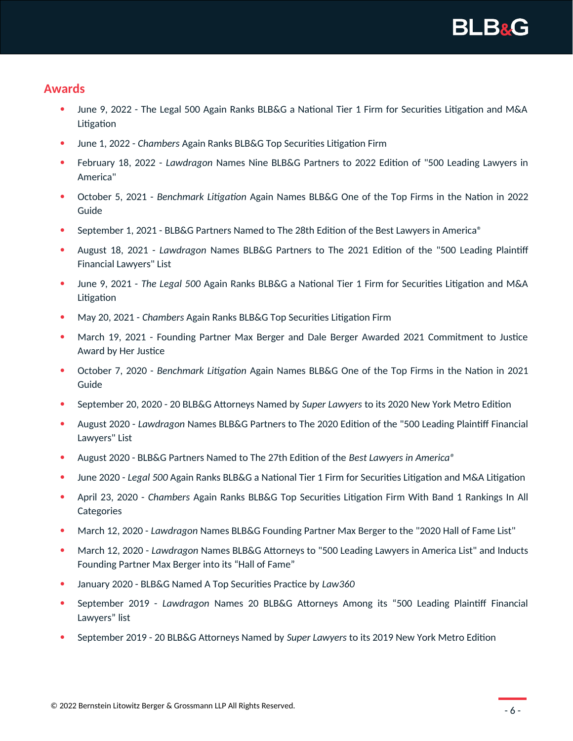

#### **Awards**

- June 9, 2022 The Legal 500 Again Ranks BLB&G a National Tier 1 Firm for Securities Litigation and M&A Litigation
- June 1, 2022 *Chambers* Again Ranks BLB&G Top Securities Litigation Firm
- February 18, 2022 *Lawdragon* Names Nine BLB&G Partners to 2022 Edition of "500 Leading Lawyers in America"
- October 5, 2021 *Benchmark Litigation* Again Names BLB&G One of the Top Firms in the Nation in 2022 Guide
- September 1, 2021 BLB&G Partners Named to The 28th Edition of the Best Lawyers in America®
- August 18, 2021 *Lawdragon* Names BLB&G Partners to The 2021 Edition of the "500 Leading Plaintiff Financial Lawyers" List
- June 9, 2021 *The Legal 500* Again Ranks BLB&G a National Tier 1 Firm for Securities Litigation and M&A Litigation
- May 20, 2021 *Chambers* Again Ranks BLB&G Top Securities Litigation Firm
- March 19, 2021 Founding Partner Max Berger and Dale Berger Awarded 2021 Commitment to Justice Award by Her Justice
- October 7, 2020 *Benchmark Litigation* Again Names BLB&G One of the Top Firms in the Nation in 2021 Guide
- September 20, 2020 20 BLB&G Attorneys Named by *Super Lawyers* to its 2020 New York Metro Edition
- August 2020 *Lawdragon* Names BLB&G Partners to The 2020 Edition of the "500 Leading Plaintiff Financial Lawyers" List
- August 2020 BLB&G Partners Named to The 27th Edition of the *Best Lawyers in America®*
- June 2020 *Legal 500* Again Ranks BLB&G a National Tier 1 Firm for Securities Litigation and M&A Litigation
- April 23, 2020 *Chambers* Again Ranks BLB&G Top Securities Litigation Firm With Band 1 Rankings In All **Categories**
- March 12, 2020 *Lawdragon* Names BLB&G Founding Partner Max Berger to the "2020 Hall of Fame List"
- March 12, 2020 *Lawdragon* Names BLB&G Attorneys to "500 Leading Lawyers in America List" and Inducts Founding Partner Max Berger into its "Hall of Fame"
- January 2020 BLB&G Named A Top Securities Practice by *Law360*
- September 2019 *Lawdragon* Names 20 BLB&G Attorneys Among its "500 Leading Plaintiff Financial Lawyers" list
- September 2019 20 BLB&G Attorneys Named by *Super Lawyers* to its 2019 New York Metro Edition